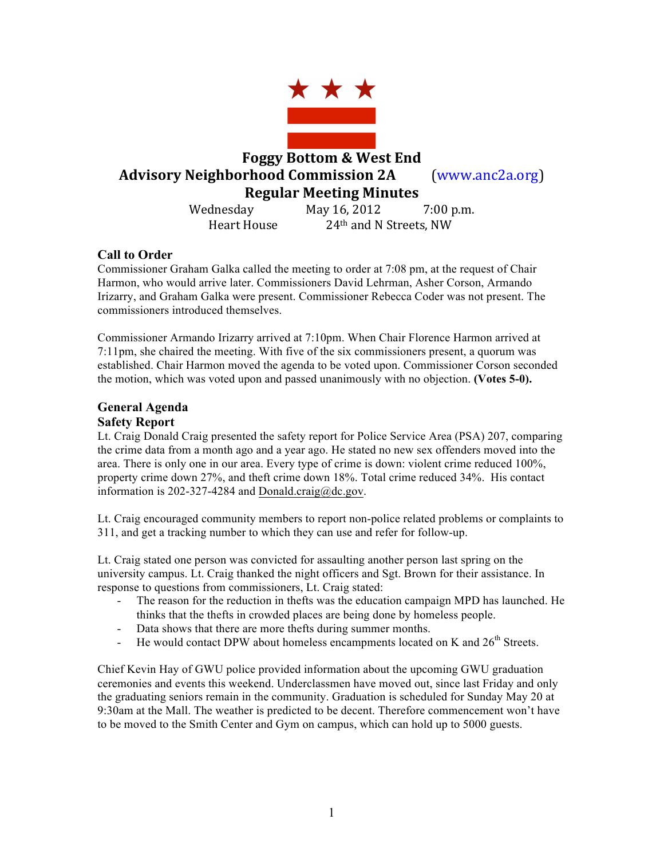

#### **Call to Order**

Commissioner Graham Galka called the meeting to order at 7:08 pm, at the request of Chair Harmon, who would arrive later. Commissioners David Lehrman, Asher Corson, Armando Irizarry, and Graham Galka were present. Commissioner Rebecca Coder was not present. The commissioners introduced themselves.

Commissioner Armando Irizarry arrived at 7:10pm. When Chair Florence Harmon arrived at 7:11pm, she chaired the meeting. With five of the six commissioners present, a quorum was established. Chair Harmon moved the agenda to be voted upon. Commissioner Corson seconded the motion, which was voted upon and passed unanimously with no objection. **(Votes 5-0).** 

#### **General Agenda Safety Report**

Lt. Craig Donald Craig presented the safety report for Police Service Area (PSA) 207, comparing the crime data from a month ago and a year ago. He stated no new sex offenders moved into the area. There is only one in our area. Every type of crime is down: violent crime reduced 100%, property crime down 27%, and theft crime down 18%. Total crime reduced 34%. His contact information is 202-327-4284 and Donald.craig@dc.gov.

Lt. Craig encouraged community members to report non-police related problems or complaints to 311, and get a tracking number to which they can use and refer for follow-up.

Lt. Craig stated one person was convicted for assaulting another person last spring on the university campus. Lt. Craig thanked the night officers and Sgt. Brown for their assistance. In response to questions from commissioners, Lt. Craig stated:

- The reason for the reduction in thefts was the education campaign MPD has launched. He thinks that the thefts in crowded places are being done by homeless people.
- Data shows that there are more thefts during summer months.
- He would contact DPW about homeless encampments located on K and  $26<sup>th</sup>$  Streets.

Chief Kevin Hay of GWU police provided information about the upcoming GWU graduation ceremonies and events this weekend. Underclassmen have moved out, since last Friday and only the graduating seniors remain in the community. Graduation is scheduled for Sunday May 20 at 9:30am at the Mall. The weather is predicted to be decent. Therefore commencement won't have to be moved to the Smith Center and Gym on campus, which can hold up to 5000 guests.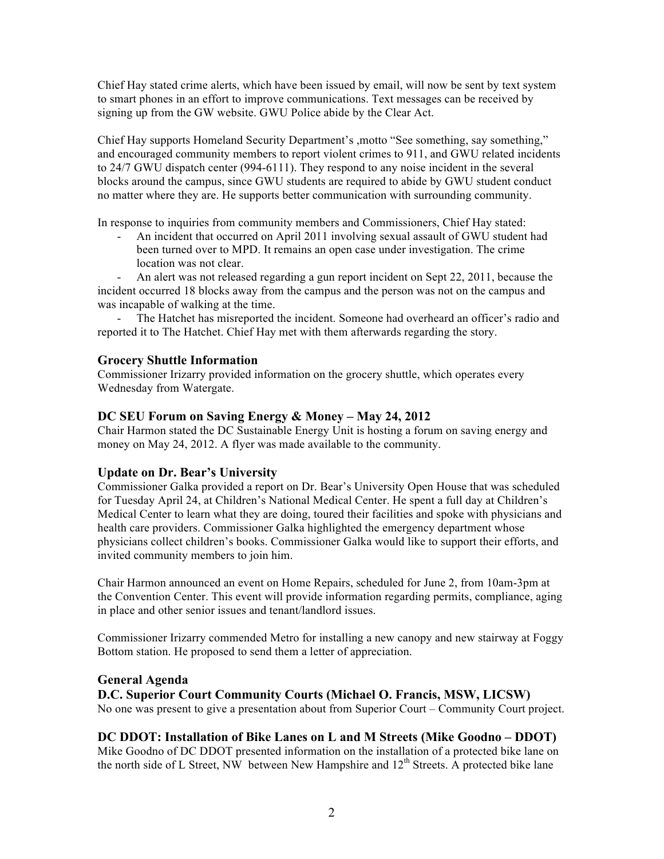Chief Hay stated crime alerts, which have been issued by email, will now be sent by text system to smart phones in an effort to improve communications. Text messages can be received by signing up from the GW website. GWU Police abide by the Clear Act.

Chief Hay supports Homeland Security Department's ,motto "See something, say something," and encouraged community members to report violent crimes to 911, and GWU related incidents to 24/7 GWU dispatch center (994-6111). They respond to any noise incident in the several blocks around the campus, since GWU students are required to abide by GWU student conduct no matter where they are. He supports better communication with surrounding community.

In response to inquiries from community members and Commissioners, Chief Hay stated:

- An incident that occurred on April 2011 involving sexual assault of GWU student had been turned over to MPD. It remains an open case under investigation. The crime location was not clear.

- An alert was not released regarding a gun report incident on Sept 22, 2011, because the incident occurred 18 blocks away from the campus and the person was not on the campus and was incapable of walking at the time.

The Hatchet has misreported the incident. Someone had overheard an officer's radio and reported it to The Hatchet. Chief Hay met with them afterwards regarding the story.

#### **Grocery Shuttle Information**

Commissioner Irizarry provided information on the grocery shuttle, which operates every Wednesday from Watergate.

#### **DC SEU Forum on Saving Energy & Money – May 24, 2012**

Chair Harmon stated the DC Sustainable Energy Unit is hosting a forum on saving energy and money on May 24, 2012. A flyer was made available to the community.

## **Update on Dr. Bear's University**

Commissioner Galka provided a report on Dr. Bear's University Open House that was scheduled for Tuesday April 24, at Children's National Medical Center. He spent a full day at Children's Medical Center to learn what they are doing, toured their facilities and spoke with physicians and health care providers. Commissioner Galka highlighted the emergency department whose physicians collect children's books. Commissioner Galka would like to support their efforts, and invited community members to join him.

Chair Harmon announced an event on Home Repairs, scheduled for June 2, from 10am-3pm at the Convention Center. This event will provide information regarding permits, compliance, aging in place and other senior issues and tenant/landlord issues.

Commissioner Irizarry commended Metro for installing a new canopy and new stairway at Foggy Bottom station. He proposed to send them a letter of appreciation.

#### **General Agenda**

#### **D.C. Superior Court Community Courts (Michael O. Francis, MSW, LICSW)**

No one was present to give a presentation about from Superior Court – Community Court project.

#### **DC DDOT: Installation of Bike Lanes on L and M Streets (Mike Goodno – DDOT)**

Mike Goodno of DC DDOT presented information on the installation of a protected bike lane on the north side of L Street. NW between New Hampshire and  $12<sup>th</sup>$  Streets. A protected bike lane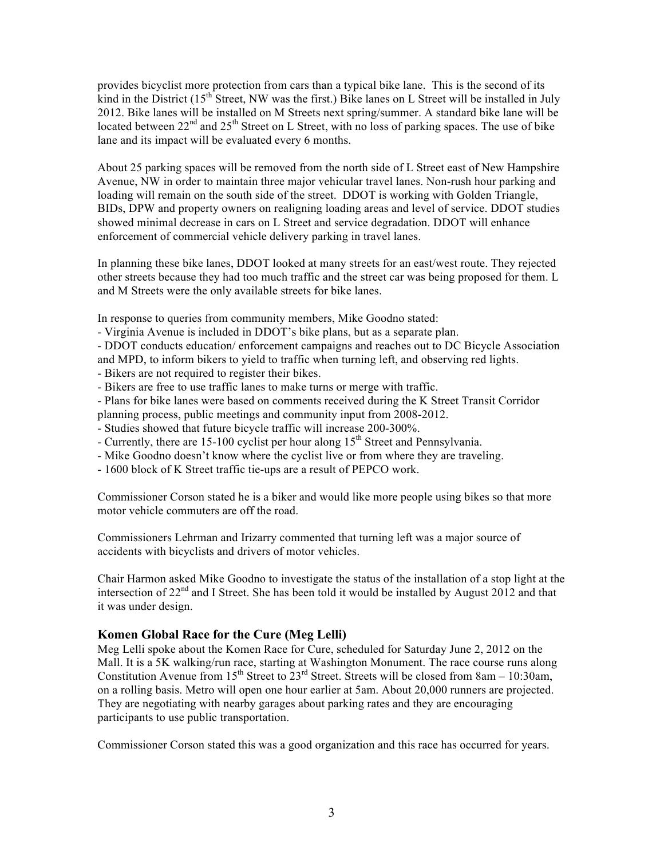provides bicyclist more protection from cars than a typical bike lane. This is the second of its kind in the District  $(15<sup>th</sup>$  Street, NW was the first.) Bike lanes on L Street will be installed in July 2012. Bike lanes will be installed on M Streets next spring/summer. A standard bike lane will be located between  $22<sup>nd</sup>$  and  $25<sup>th</sup>$  Street on L Street, with no loss of parking spaces. The use of bike lane and its impact will be evaluated every 6 months.

About 25 parking spaces will be removed from the north side of L Street east of New Hampshire Avenue, NW in order to maintain three major vehicular travel lanes. Non-rush hour parking and loading will remain on the south side of the street. DDOT is working with Golden Triangle, BIDs, DPW and property owners on realigning loading areas and level of service. DDOT studies showed minimal decrease in cars on L Street and service degradation. DDOT will enhance enforcement of commercial vehicle delivery parking in travel lanes.

In planning these bike lanes, DDOT looked at many streets for an east/west route. They rejected other streets because they had too much traffic and the street car was being proposed for them. L and M Streets were the only available streets for bike lanes.

In response to queries from community members, Mike Goodno stated:

- Virginia Avenue is included in DDOT's bike plans, but as a separate plan.

- DDOT conducts education/ enforcement campaigns and reaches out to DC Bicycle Association and MPD, to inform bikers to yield to traffic when turning left, and observing red lights.

- Bikers are not required to register their bikes.
- Bikers are free to use traffic lanes to make turns or merge with traffic.
- Plans for bike lanes were based on comments received during the K Street Transit Corridor

planning process, public meetings and community input from 2008-2012.

- Studies showed that future bicycle traffic will increase 200-300%.
- Currently, there are 15-100 cyclist per hour along  $15<sup>th</sup>$  Street and Pennsylvania.
- Mike Goodno doesn't know where the cyclist live or from where they are traveling.
- 1600 block of K Street traffic tie-ups are a result of PEPCO work.

Commissioner Corson stated he is a biker and would like more people using bikes so that more motor vehicle commuters are off the road.

Commissioners Lehrman and Irizarry commented that turning left was a major source of accidents with bicyclists and drivers of motor vehicles.

Chair Harmon asked Mike Goodno to investigate the status of the installation of a stop light at the intersection of 22<sup>nd</sup> and I Street. She has been told it would be installed by August 2012 and that it was under design.

#### **Komen Global Race for the Cure (Meg Lelli)**

Meg Lelli spoke about the Komen Race for Cure, scheduled for Saturday June 2, 2012 on the Mall. It is a 5K walking/run race, starting at Washington Monument. The race course runs along Constitution Avenue from 15<sup>th</sup> Street to  $23^{rd}$  Street. Streets will be closed from 8am – 10:30am, on a rolling basis. Metro will open one hour earlier at 5am. About 20,000 runners are projected. They are negotiating with nearby garages about parking rates and they are encouraging participants to use public transportation.

Commissioner Corson stated this was a good organization and this race has occurred for years.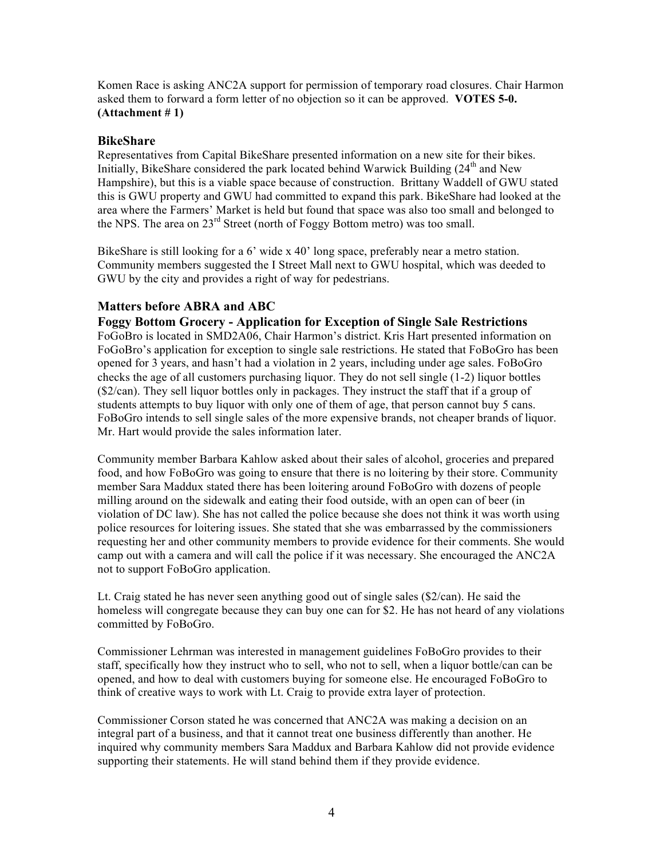Komen Race is asking ANC2A support for permission of temporary road closures. Chair Harmon asked them to forward a form letter of no objection so it can be approved. **VOTES 5-0. (Attachment # 1)**

#### **BikeShare**

Representatives from Capital BikeShare presented information on a new site for their bikes. Initially, BikeShare considered the park located behind Warwick Building  $(24<sup>th</sup>$  and New Hampshire), but this is a viable space because of construction. Brittany Waddell of GWU stated this is GWU property and GWU had committed to expand this park. BikeShare had looked at the area where the Farmers' Market is held but found that space was also too small and belonged to the NPS. The area on  $23<sup>rd</sup>$  Street (north of Foggy Bottom metro) was too small.

BikeShare is still looking for a 6' wide x 40' long space, preferably near a metro station. Community members suggested the I Street Mall next to GWU hospital, which was deeded to GWU by the city and provides a right of way for pedestrians.

### **Matters before ABRA and ABC**

**Foggy Bottom Grocery - Application for Exception of Single Sale Restrictions**  FoGoBro is located in SMD2A06, Chair Harmon's district. Kris Hart presented information on FoGoBro's application for exception to single sale restrictions. He stated that FoBoGro has been opened for 3 years, and hasn't had a violation in 2 years, including under age sales. FoBoGro checks the age of all customers purchasing liquor. They do not sell single (1-2) liquor bottles (\$2/can). They sell liquor bottles only in packages. They instruct the staff that if a group of students attempts to buy liquor with only one of them of age, that person cannot buy 5 cans. FoBoGro intends to sell single sales of the more expensive brands, not cheaper brands of liquor. Mr. Hart would provide the sales information later.

Community member Barbara Kahlow asked about their sales of alcohol, groceries and prepared food, and how FoBoGro was going to ensure that there is no loitering by their store. Community member Sara Maddux stated there has been loitering around FoBoGro with dozens of people milling around on the sidewalk and eating their food outside, with an open can of beer (in violation of DC law). She has not called the police because she does not think it was worth using police resources for loitering issues. She stated that she was embarrassed by the commissioners requesting her and other community members to provide evidence for their comments. She would camp out with a camera and will call the police if it was necessary. She encouraged the ANC2A not to support FoBoGro application.

Lt. Craig stated he has never seen anything good out of single sales (\$2/can). He said the homeless will congregate because they can buy one can for \$2. He has not heard of any violations committed by FoBoGro.

Commissioner Lehrman was interested in management guidelines FoBoGro provides to their staff, specifically how they instruct who to sell, who not to sell, when a liquor bottle/can can be opened, and how to deal with customers buying for someone else. He encouraged FoBoGro to think of creative ways to work with Lt. Craig to provide extra layer of protection.

Commissioner Corson stated he was concerned that ANC2A was making a decision on an integral part of a business, and that it cannot treat one business differently than another. He inquired why community members Sara Maddux and Barbara Kahlow did not provide evidence supporting their statements. He will stand behind them if they provide evidence.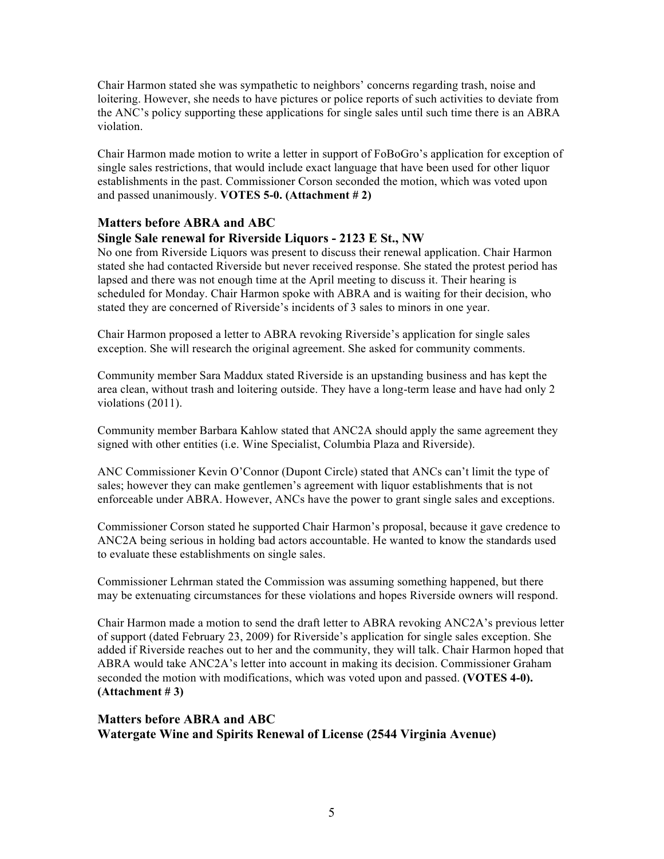Chair Harmon stated she was sympathetic to neighbors' concerns regarding trash, noise and loitering. However, she needs to have pictures or police reports of such activities to deviate from the ANC's policy supporting these applications for single sales until such time there is an ABRA violation.

Chair Harmon made motion to write a letter in support of FoBoGro's application for exception of single sales restrictions, that would include exact language that have been used for other liquor establishments in the past. Commissioner Corson seconded the motion, which was voted upon and passed unanimously. **VOTES 5-0. (Attachment # 2)**

#### **Matters before ABRA and ABC**

### **Single Sale renewal for Riverside Liquors - 2123 E St., NW**

No one from Riverside Liquors was present to discuss their renewal application. Chair Harmon stated she had contacted Riverside but never received response. She stated the protest period has lapsed and there was not enough time at the April meeting to discuss it. Their hearing is scheduled for Monday. Chair Harmon spoke with ABRA and is waiting for their decision, who stated they are concerned of Riverside's incidents of 3 sales to minors in one year.

Chair Harmon proposed a letter to ABRA revoking Riverside's application for single sales exception. She will research the original agreement. She asked for community comments.

Community member Sara Maddux stated Riverside is an upstanding business and has kept the area clean, without trash and loitering outside. They have a long-term lease and have had only 2 violations (2011).

Community member Barbara Kahlow stated that ANC2A should apply the same agreement they signed with other entities (i.e. Wine Specialist, Columbia Plaza and Riverside).

ANC Commissioner Kevin O'Connor (Dupont Circle) stated that ANCs can't limit the type of sales; however they can make gentlemen's agreement with liquor establishments that is not enforceable under ABRA. However, ANCs have the power to grant single sales and exceptions.

Commissioner Corson stated he supported Chair Harmon's proposal, because it gave credence to ANC2A being serious in holding bad actors accountable. He wanted to know the standards used to evaluate these establishments on single sales.

Commissioner Lehrman stated the Commission was assuming something happened, but there may be extenuating circumstances for these violations and hopes Riverside owners will respond.

Chair Harmon made a motion to send the draft letter to ABRA revoking ANC2A's previous letter of support (dated February 23, 2009) for Riverside's application for single sales exception. She added if Riverside reaches out to her and the community, they will talk. Chair Harmon hoped that ABRA would take ANC2A's letter into account in making its decision. Commissioner Graham seconded the motion with modifications, which was voted upon and passed. **(VOTES 4-0). (Attachment # 3)**

#### **Matters before ABRA and ABC Watergate Wine and Spirits Renewal of License (2544 Virginia Avenue)**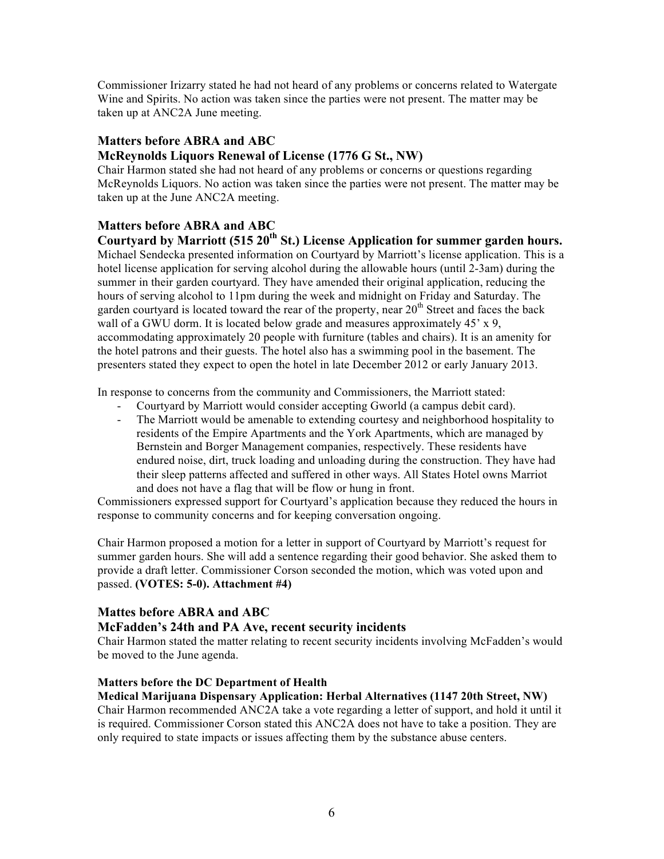Commissioner Irizarry stated he had not heard of any problems or concerns related to Watergate Wine and Spirits. No action was taken since the parties were not present. The matter may be taken up at ANC2A June meeting.

### **Matters before ABRA and ABC McReynolds Liquors Renewal of License (1776 G St., NW)**

Chair Harmon stated she had not heard of any problems or concerns or questions regarding McReynolds Liquors. No action was taken since the parties were not present. The matter may be taken up at the June ANC2A meeting.

# **Matters before ABRA and ABC**

**Courtyard by Marriott (515 20th St.) License Application for summer garden hours.** Michael Sendecka presented information on Courtyard by Marriott's license application. This is a hotel license application for serving alcohol during the allowable hours (until 2-3am) during the summer in their garden courtyard. They have amended their original application, reducing the hours of serving alcohol to 11pm during the week and midnight on Friday and Saturday. The garden courtyard is located toward the rear of the property, near  $20<sup>th</sup>$  Street and faces the back wall of a GWU dorm. It is located below grade and measures approximately 45' x 9, accommodating approximately 20 people with furniture (tables and chairs). It is an amenity for the hotel patrons and their guests. The hotel also has a swimming pool in the basement. The presenters stated they expect to open the hotel in late December 2012 or early January 2013.

In response to concerns from the community and Commissioners, the Marriott stated:

- Courtyard by Marriott would consider accepting Gworld (a campus debit card).
- The Marriott would be amenable to extending courtesy and neighborhood hospitality to residents of the Empire Apartments and the York Apartments, which are managed by Bernstein and Borger Management companies, respectively. These residents have endured noise, dirt, truck loading and unloading during the construction. They have had their sleep patterns affected and suffered in other ways. All States Hotel owns Marriot and does not have a flag that will be flow or hung in front.

Commissioners expressed support for Courtyard's application because they reduced the hours in response to community concerns and for keeping conversation ongoing.

Chair Harmon proposed a motion for a letter in support of Courtyard by Marriott's request for summer garden hours. She will add a sentence regarding their good behavior. She asked them to provide a draft letter. Commissioner Corson seconded the motion, which was voted upon and passed. **(VOTES: 5-0). Attachment #4)**

## **Mattes before ABRA and ABC**

## **McFadden's 24th and PA Ave, recent security incidents**

Chair Harmon stated the matter relating to recent security incidents involving McFadden's would be moved to the June agenda.

#### **Matters before the DC Department of Health**

**Medical Marijuana Dispensary Application: Herbal Alternatives (1147 20th Street, NW)** Chair Harmon recommended ANC2A take a vote regarding a letter of support, and hold it until it is required. Commissioner Corson stated this ANC2A does not have to take a position. They are only required to state impacts or issues affecting them by the substance abuse centers.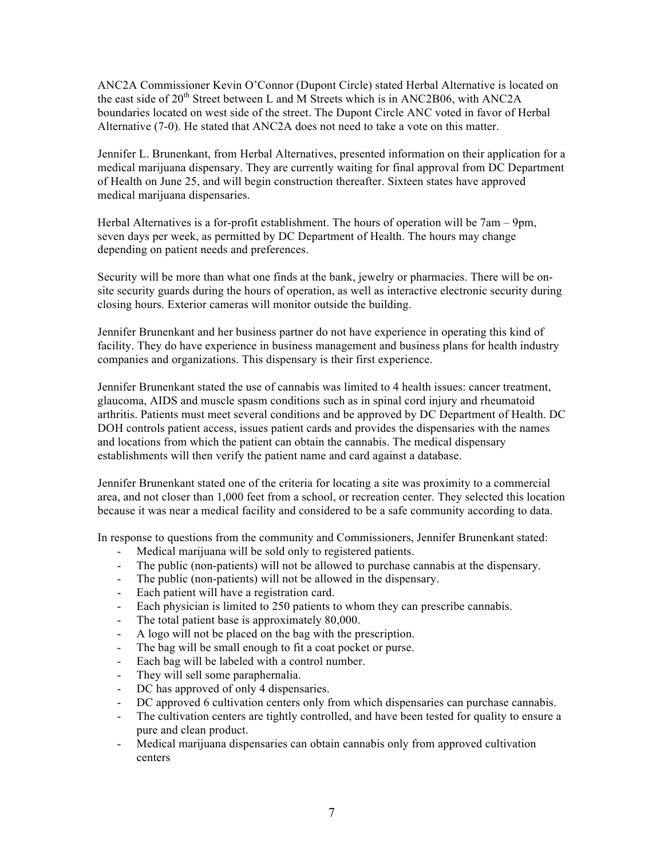ANC2A Commissioner Kevin O'Connor (Dupont Circle) stated Herbal Alternative is located on the east side of  $20<sup>th</sup>$  Street between L and M Streets which is in ANC2B06, with ANC2A boundaries located on west side of the street. The Dupont Circle ANC voted in favor of Herbal Alternative (7-0). He stated that ANC2A does not need to take a vote on this matter.

Jennifer L. Brunenkant, from Herbal Alternatives, presented information on their application for a medical marijuana dispensary. They are currently waiting for final approval from DC Department of Health on June 25, and will begin construction thereafter. Sixteen states have approved medical marijuana dispensaries.

Herbal Alternatives is a for-profit establishment. The hours of operation will be 7am – 9pm, seven days per week, as permitted by DC Department of Health. The hours may change depending on patient needs and preferences.

Security will be more than what one finds at the bank, jewelry or pharmacies. There will be onsite security guards during the hours of operation, as well as interactive electronic security during closing hours. Exterior cameras will monitor outside the building.

Jennifer Brunenkant and her business partner do not have experience in operating this kind of facility. They do have experience in business management and business plans for health industry companies and organizations. This dispensary is their first experience.

Jennifer Brunenkant stated the use of cannabis was limited to 4 health issues: cancer treatment, glaucoma, AIDS and muscle spasm conditions such as in spinal cord injury and rheumatoid arthritis. Patients must meet several conditions and be approved by DC Department of Health. DC DOH controls patient access, issues patient cards and provides the dispensaries with the names and locations from which the patient can obtain the cannabis. The medical dispensary establishments will then verify the patient name and card against a database.

Jennifer Brunenkant stated one of the criteria for locating a site was proximity to a commercial area, and not closer than 1,000 feet from a school, or recreation center. They selected this location because it was near a medical facility and considered to be a safe community according to data.

In response to questions from the community and Commissioners, Jennifer Brunenkant stated:

- Medical marijuana will be sold only to registered patients.
- The public (non-patients) will not be allowed to purchase cannabis at the dispensary.
- The public (non-patients) will not be allowed in the dispensary.
- Each patient will have a registration card.
- Each physician is limited to 250 patients to whom they can prescribe cannabis.
- The total patient base is approximately 80,000.
- A logo will not be placed on the bag with the prescription.
- The bag will be small enough to fit a coat pocket or purse.
- Each bag will be labeled with a control number.
- They will sell some paraphernalia.
- DC has approved of only 4 dispensaries.
- DC approved 6 cultivation centers only from which dispensaries can purchase cannabis.
- The cultivation centers are tightly controlled, and have been tested for quality to ensure a pure and clean product.
- Medical marijuana dispensaries can obtain cannabis only from approved cultivation centers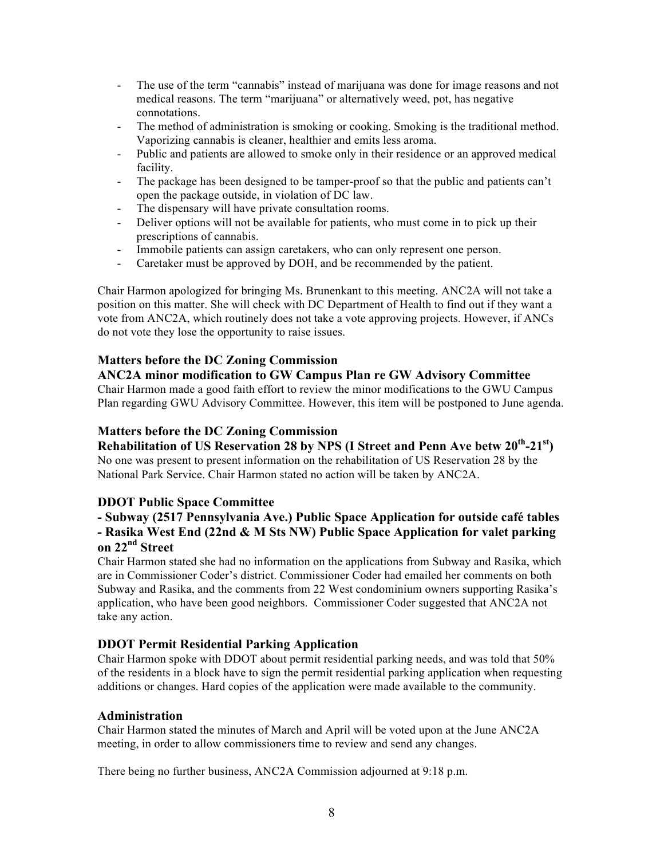- The use of the term "cannabis" instead of marijuana was done for image reasons and not medical reasons. The term "marijuana" or alternatively weed, pot, has negative connotations.
- The method of administration is smoking or cooking. Smoking is the traditional method. Vaporizing cannabis is cleaner, healthier and emits less aroma.
- Public and patients are allowed to smoke only in their residence or an approved medical facility.
- The package has been designed to be tamper-proof so that the public and patients can't open the package outside, in violation of DC law.
- The dispensary will have private consultation rooms.
- Deliver options will not be available for patients, who must come in to pick up their prescriptions of cannabis.
- Immobile patients can assign caretakers, who can only represent one person.
- Caretaker must be approved by DOH, and be recommended by the patient.

Chair Harmon apologized for bringing Ms. Brunenkant to this meeting. ANC2A will not take a position on this matter. She will check with DC Department of Health to find out if they want a vote from ANC2A, which routinely does not take a vote approving projects. However, if ANCs do not vote they lose the opportunity to raise issues.

#### **Matters before the DC Zoning Commission**

**ANC2A minor modification to GW Campus Plan re GW Advisory Committee** Chair Harmon made a good faith effort to review the minor modifications to the GWU Campus Plan regarding GWU Advisory Committee. However, this item will be postponed to June agenda.

### **Matters before the DC Zoning Commission**

**Rehabilitation of US Reservation 28 by NPS (I Street and Penn Ave betw 20th-21st)**

No one was present to present information on the rehabilitation of US Reservation 28 by the National Park Service. Chair Harmon stated no action will be taken by ANC2A.

#### **DDOT Public Space Committee**

# **- Subway (2517 Pennsylvania Ave.) Public Space Application for outside café tables - Rasika West End (22nd & M Sts NW) Public Space Application for valet parking**

### **on 22nd Street**

Chair Harmon stated she had no information on the applications from Subway and Rasika, which are in Commissioner Coder's district. Commissioner Coder had emailed her comments on both Subway and Rasika, and the comments from 22 West condominium owners supporting Rasika's application, who have been good neighbors. Commissioner Coder suggested that ANC2A not take any action.

## **DDOT Permit Residential Parking Application**

Chair Harmon spoke with DDOT about permit residential parking needs, and was told that 50% of the residents in a block have to sign the permit residential parking application when requesting additions or changes. Hard copies of the application were made available to the community.

#### **Administration**

Chair Harmon stated the minutes of March and April will be voted upon at the June ANC2A meeting, in order to allow commissioners time to review and send any changes.

There being no further business, ANC2A Commission adjourned at 9:18 p.m.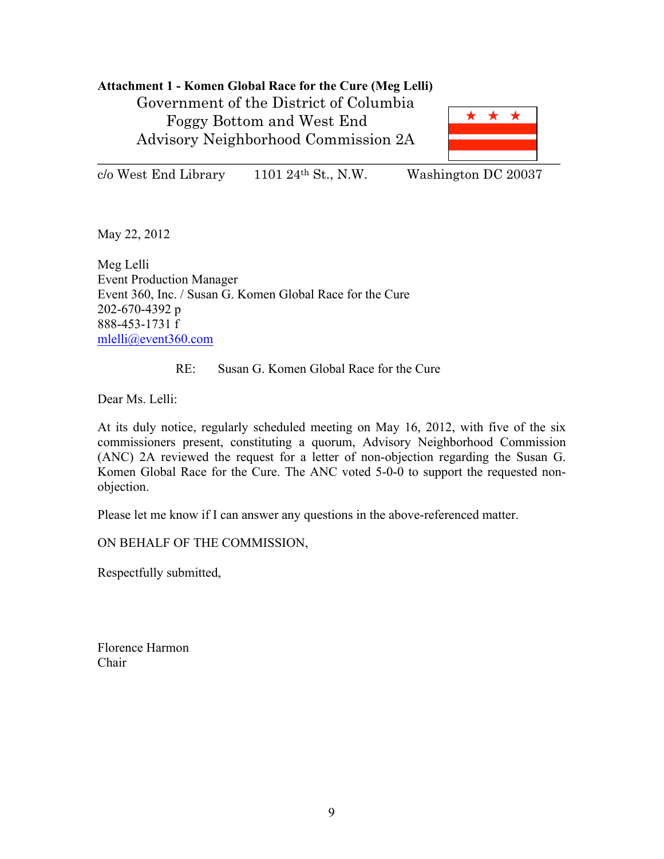## **Attachment 1 - Komen Global Race for the Cure (Meg Lelli)**

Government of the District of Columbia Foggy Bottom and West End Advisory Neighborhood Commission 2A



 $c$ /o West End Library 1101 24<sup>th</sup> St., N.W. Washington DC 20037

May 22, 2012

Meg Lelli Event Production Manager Event 360, Inc. / Susan G. Komen Global Race for the Cure 202-670-4392 p 888-453-1731 f mlelli@event360.com

## RE: Susan G. Komen Global Race for the Cure

Dear Ms. Lelli:

At its duly notice, regularly scheduled meeting on May 16, 2012, with five of the six commissioners present, constituting a quorum, Advisory Neighborhood Commission (ANC) 2A reviewed the request for a letter of non-objection regarding the Susan G. Komen Global Race for the Cure. The ANC voted 5-0-0 to support the requested nonobjection.

Please let me know if I can answer any questions in the above-referenced matter.

ON BEHALF OF THE COMMISSION,

Respectfully submitted,

Florence Harmon Chair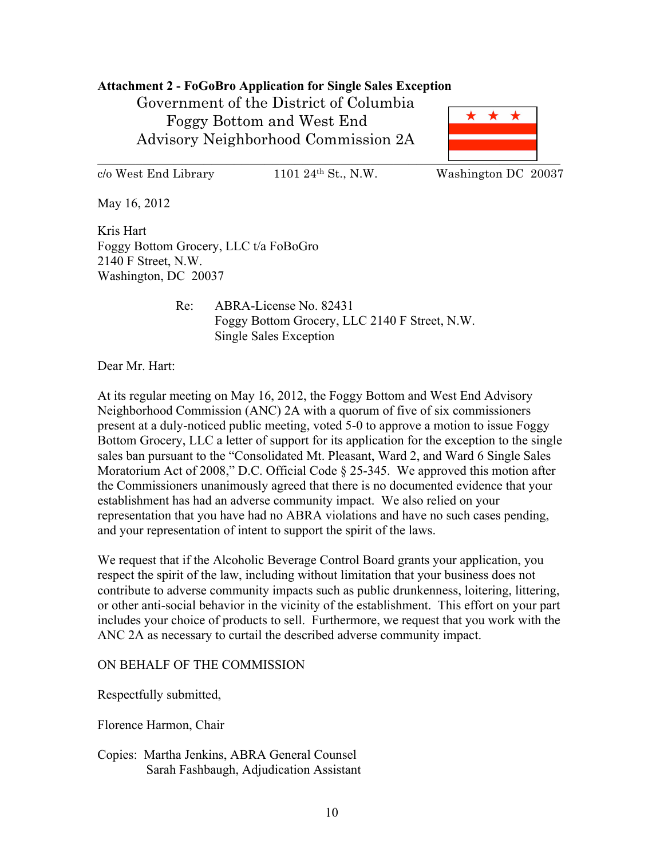### **Attachment 2 - FoGoBro Application for Single Sales Exception**

Government of the District of Columbia Foggy Bottom and West End Advisory Neighborhood Commission 2A



c/o West End Library 1101 24th St., N.W. Washington DC 20037

May 16, 2012

Kris Hart Foggy Bottom Grocery, LLC t/a FoBoGro 2140 F Street, N.W. Washington, DC 20037

> Re: ABRA-License No. 82431 Foggy Bottom Grocery, LLC 2140 F Street, N.W. Single Sales Exception

Dear Mr. Hart:

At its regular meeting on May 16, 2012, the Foggy Bottom and West End Advisory Neighborhood Commission (ANC) 2A with a quorum of five of six commissioners present at a duly-noticed public meeting, voted 5-0 to approve a motion to issue Foggy Bottom Grocery, LLC a letter of support for its application for the exception to the single sales ban pursuant to the "Consolidated Mt. Pleasant, Ward 2, and Ward 6 Single Sales Moratorium Act of 2008," D.C. Official Code § 25-345. We approved this motion after the Commissioners unanimously agreed that there is no documented evidence that your establishment has had an adverse community impact. We also relied on your representation that you have had no ABRA violations and have no such cases pending, and your representation of intent to support the spirit of the laws.

We request that if the Alcoholic Beverage Control Board grants your application, you respect the spirit of the law, including without limitation that your business does not contribute to adverse community impacts such as public drunkenness, loitering, littering, or other anti-social behavior in the vicinity of the establishment. This effort on your part includes your choice of products to sell. Furthermore, we request that you work with the ANC 2A as necessary to curtail the described adverse community impact.

#### ON BEHALF OF THE COMMISSION

Respectfully submitted,

Florence Harmon, Chair

Copies: Martha Jenkins, ABRA General Counsel Sarah Fashbaugh, Adjudication Assistant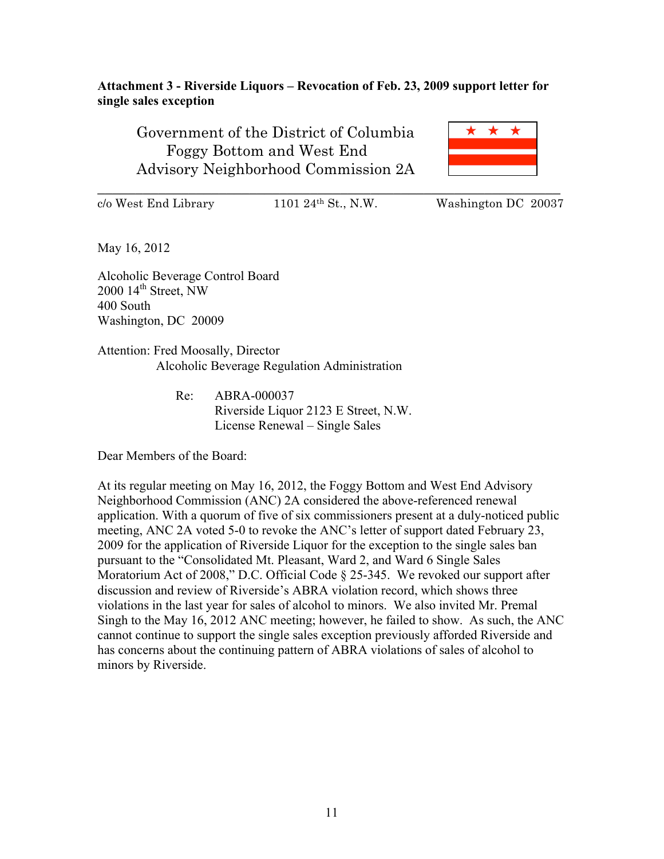### **Attachment 3 - Riverside Liquors – Revocation of Feb. 23, 2009 support letter for single sales exception**

Government of the District of Columbia Foggy Bottom and West End Advisory Neighborhood Commission 2A



\_\_\_\_\_\_\_\_\_\_\_\_\_\_\_\_\_\_\_\_\_\_\_\_\_\_\_\_\_\_\_\_\_\_\_\_\_\_\_\_\_\_\_\_\_\_\_\_\_\_\_\_\_\_\_\_\_\_\_\_\_

 $c/\text{o}$  West End Library 1101 24<sup>th</sup> St., N.W. Washington DC 20037

May 16, 2012

Alcoholic Beverage Control Board  $2000$   $14^{\text{th}}$  Street, NW 400 South Washington, DC 20009

Attention: Fred Moosally, Director Alcoholic Beverage Regulation Administration

> Re: ABRA-000037 Riverside Liquor 2123 E Street, N.W. License Renewal – Single Sales

Dear Members of the Board:

At its regular meeting on May 16, 2012, the Foggy Bottom and West End Advisory Neighborhood Commission (ANC) 2A considered the above-referenced renewal application. With a quorum of five of six commissioners present at a duly-noticed public meeting, ANC 2A voted 5-0 to revoke the ANC's letter of support dated February 23, 2009 for the application of Riverside Liquor for the exception to the single sales ban pursuant to the "Consolidated Mt. Pleasant, Ward 2, and Ward 6 Single Sales Moratorium Act of 2008," D.C. Official Code § 25-345. We revoked our support after discussion and review of Riverside's ABRA violation record, which shows three violations in the last year for sales of alcohol to minors. We also invited Mr. Premal Singh to the May 16, 2012 ANC meeting; however, he failed to show. As such, the ANC cannot continue to support the single sales exception previously afforded Riverside and has concerns about the continuing pattern of ABRA violations of sales of alcohol to minors by Riverside.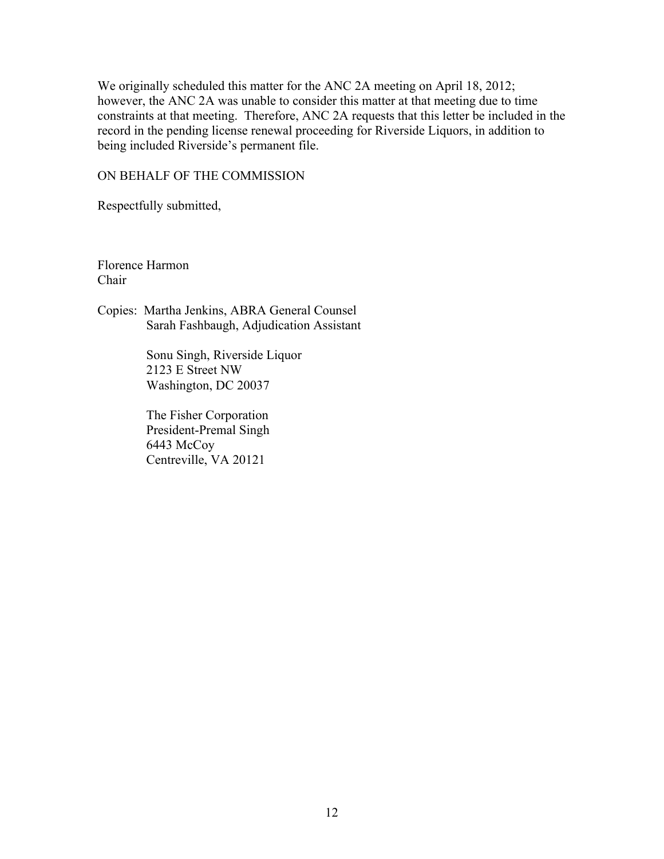We originally scheduled this matter for the ANC 2A meeting on April 18, 2012; however, the ANC 2A was unable to consider this matter at that meeting due to time constraints at that meeting. Therefore, ANC 2A requests that this letter be included in the record in the pending license renewal proceeding for Riverside Liquors, in addition to being included Riverside's permanent file.

#### ON BEHALF OF THE COMMISSION

Respectfully submitted,

Florence Harmon Chair

Copies: Martha Jenkins, ABRA General Counsel Sarah Fashbaugh, Adjudication Assistant

> Sonu Singh, Riverside Liquor 2123 E Street NW Washington, DC 20037

 The Fisher Corporation President-Premal Singh 6443 McCoy Centreville, VA 20121